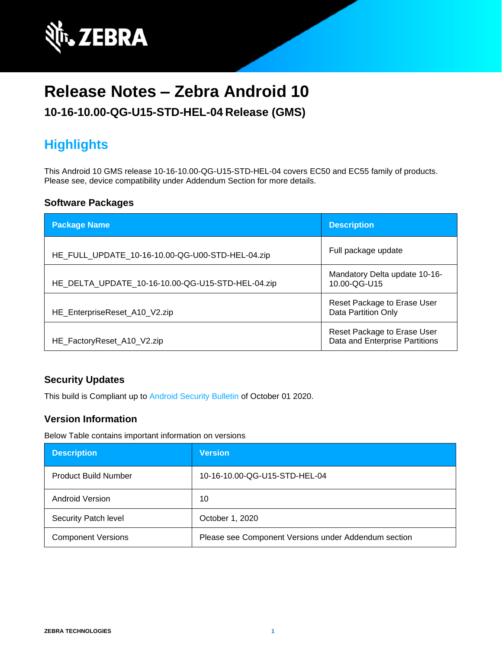

# **Release Notes – Zebra Android 10**

### **10-16-10.00-QG-U15-STD-HEL-04 Release (GMS)**

# **Highlights**

This Android 10 GMS release 10-16-10.00-QG-U15-STD-HEL-04 covers EC50 and EC55 family of products. Please see, device compatibility under Addendum Section for more details.

#### **Software Packages**

| <b>Package Name</b>                               | <b>Description</b>                                            |
|---------------------------------------------------|---------------------------------------------------------------|
| HE_FULL_UPDATE_10-16-10.00-QG-U00-STD-HEL-04.zip  | Full package update                                           |
| HE_DELTA_UPDATE_10-16-10.00-QG-U15-STD-HEL-04.zip | Mandatory Delta update 10-16-<br>10.00-QG-U15                 |
| HE_EnterpriseReset_A10_V2.zip                     | Reset Package to Erase User<br>Data Partition Only            |
| HE_FactoryReset_A10_V2.zip                        | Reset Package to Erase User<br>Data and Enterprise Partitions |

#### **Security Updates**

This build is Compliant up to [Android Security Bulletin](https://source.android.com/security/bulletin/) of October 01 2020.

#### **Version Information**

Below Table contains important information on versions

| <b>Description</b>          | <b>Version</b>                                       |
|-----------------------------|------------------------------------------------------|
| <b>Product Build Number</b> | 10-16-10.00-QG-U15-STD-HEL-04                        |
| Android Version             | 10                                                   |
| Security Patch level        | October 1, 2020                                      |
| <b>Component Versions</b>   | Please see Component Versions under Addendum section |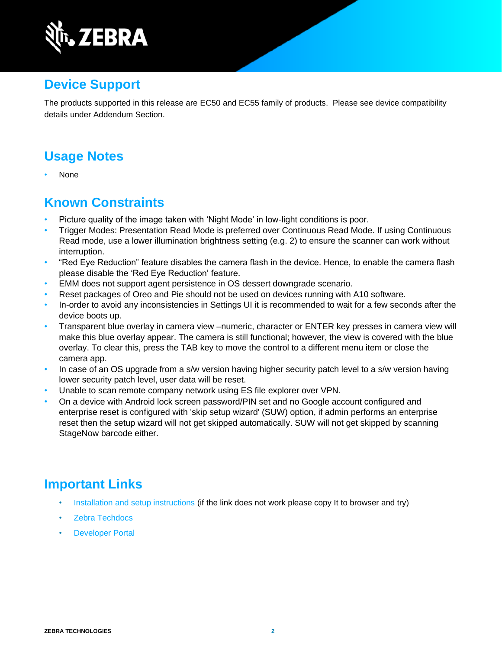

### **Device Support**

The products supported in this release are EC50 and EC55 family of products. Please see device compatibility details under Addendum Section.

### **Usage Notes**

• None

### **Known Constraints**

- Picture quality of the image taken with 'Night Mode' in low-light conditions is poor.
- Trigger Modes: Presentation Read Mode is preferred over Continuous Read Mode. If using Continuous Read mode, use a lower illumination brightness setting (e.g. 2) to ensure the scanner can work without interruption.
- "Red Eye Reduction" feature disables the camera flash in the device. Hence, to enable the camera flash please disable the 'Red Eye Reduction' feature.
- EMM does not support agent persistence in OS dessert downgrade scenario.
- Reset packages of Oreo and Pie should not be used on devices running with A10 software.
- In-order to avoid any inconsistencies in Settings UI it is recommended to wait for a few seconds after the device boots up.
- Transparent blue overlay in camera view –numeric, character or ENTER key presses in camera view will make this blue overlay appear. The camera is still functional; however, the view is covered with the blue overlay. To clear this, press the TAB key to move the control to a different menu item or close the camera app.
- In case of an OS upgrade from a s/w version having higher security patch level to a s/w version having lower security patch level, user data will be reset.
- Unable to scan remote company network using ES file explorer over VPN.
- On a device with Android lock screen password/PIN set and no Google account configured and enterprise reset is configured with 'skip setup wizard' (SUW) option, if admin performs an enterprise reset then the setup wizard will not get skipped automatically. SUW will not get skipped by scanning StageNow barcode either.

### **Important Links**

- [Installation and setup instructions](https://www.zebra.com/content/dam/zebra_new_ia/en-us/software/operating-system/helios/a10-os-update-instructions.pdf) (if the link does not work please copy It to browser and try)
- [Zebra Techdocs](http://techdocs.zebra.com/)
- **[Developer Portal](http://developer.zebra.com/)**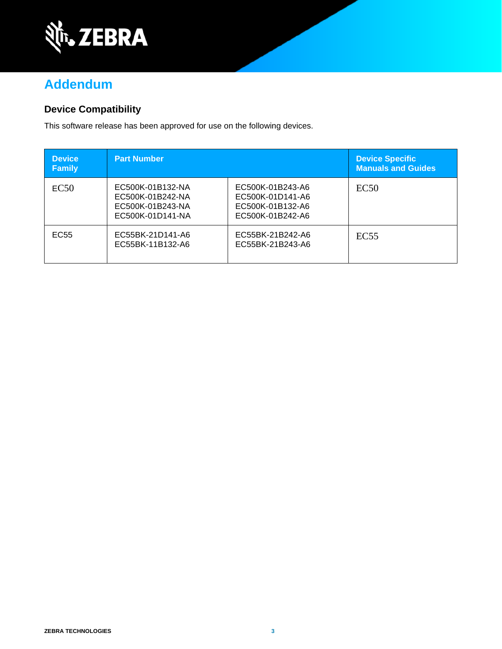

## **Addendum**

#### **Device Compatibility**

This software release has been approved for use on the following devices.

| <b>Device</b><br><b>Family</b> | <b>Part Number</b>                                                           |                                                                              | Device Specific<br><b>Manuals and Guides</b> |
|--------------------------------|------------------------------------------------------------------------------|------------------------------------------------------------------------------|----------------------------------------------|
| EC50                           | EC500K-01B132-NA<br>EC500K-01B242-NA<br>EC500K-01B243-NA<br>EC500K-01D141-NA | EC500K-01B243-A6<br>EC500K-01D141-A6<br>EC500K-01B132-A6<br>EC500K-01B242-A6 | EC50                                         |
| EC55                           | EC55BK-21D141-A6<br>EC55BK-11B132-A6                                         | EC55BK-21B242-A6<br>EC55BK-21B243-A6                                         | EC <sub>55</sub>                             |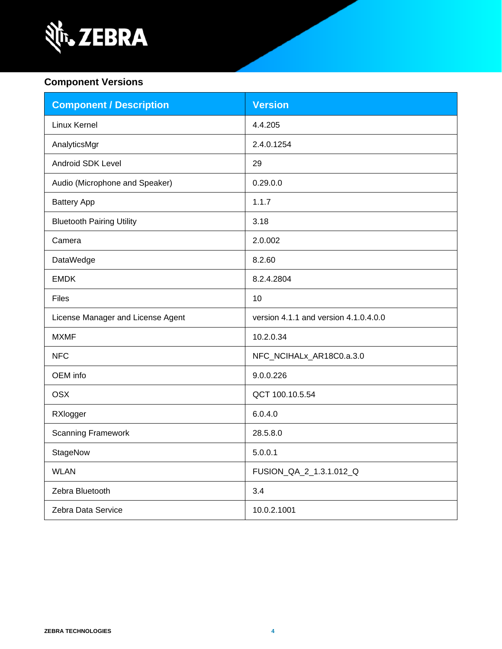

#### **Component Versions**

| <b>Component / Description</b>    | <b>Version</b>                        |
|-----------------------------------|---------------------------------------|
| Linux Kernel                      | 4.4.205                               |
| AnalyticsMgr                      | 2.4.0.1254                            |
| Android SDK Level                 | 29                                    |
| Audio (Microphone and Speaker)    | 0.29.0.0                              |
| <b>Battery App</b>                | 1.1.7                                 |
| <b>Bluetooth Pairing Utility</b>  | 3.18                                  |
| Camera                            | 2.0.002                               |
| DataWedge                         | 8.2.60                                |
| <b>EMDK</b>                       | 8.2.4.2804                            |
| <b>Files</b>                      | 10                                    |
| License Manager and License Agent | version 4.1.1 and version 4.1.0.4.0.0 |
| <b>MXMF</b>                       | 10.2.0.34                             |
| <b>NFC</b>                        | NFC_NCIHALx_AR18C0.a.3.0              |
| OEM info                          | 9.0.0.226                             |
| <b>OSX</b>                        | QCT 100.10.5.54                       |
| RXlogger                          | 6.0.4.0                               |
| <b>Scanning Framework</b>         | 28.5.8.0                              |
| StageNow                          | 5.0.0.1                               |
| <b>WLAN</b>                       | FUSION_QA_2_1.3.1.012_Q               |
| Zebra Bluetooth                   | 3.4                                   |
| Zebra Data Service                | 10.0.2.1001                           |